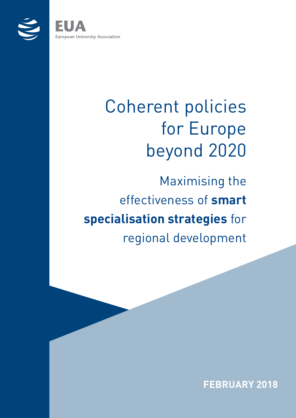

**European University Association** 

# Coherent policies for Europe beyond 2020

Maximising the effectiveness of **smart specialisation strategies** for regional development

**FEBRUARY 2018**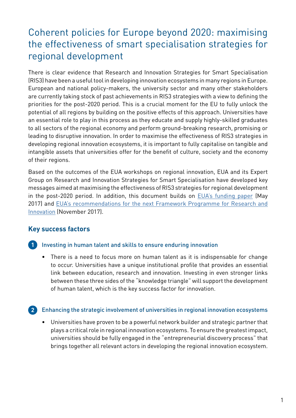### Coherent policies for Europe beyond 2020: maximising the effectiveness of smart specialisation strategies for regional development

There is clear evidence that Research and Innovation Strategies for Smart Specialisation (RIS3) have been a useful tool in developing innovation ecosystems in many regions in Europe. European and national policy-makers, the university sector and many other stakeholders are currently taking stock of past achievements in RIS3 strategies with a view to defining the priorities for the post-2020 period. This is a crucial moment for the EU to fully unlock the potential of all regions by building on the positive effects of this approach. Universities have an essential role to play in this process as they educate and supply highly-skilled graduates to all sectors of the regional economy and perform ground-breaking research, promising or leading to disruptive innovation. In order to maximise the effectiveness of RIS3 strategies in developing regional innovation ecosystems, it is important to fully capitalise on tangible and intangible assets that universities offer for the benefit of culture, society and the economy of their regions.

Based on the outcomes of the EUA workshops on regional innovation, EUA and its Expert Group on Research and Innovation Strategies for Smart Specialisation have developed key messages aimed at maximising the effectiveness of RIS3 strategies for regional development in the post-2020 period. In addition, this document builds on **EUA's funding paper** (May 2017) and EUA's recommendations for the next Framework Programme for Research and [Innovation](http://eua.be/Libraries/publications-homepage-list/eua-next-framework-programme-for-research-and-innovation-(fp9)) (November 2017).

#### **Key success factors**

#### **1** Investing in human talent and skills to ensure enduring innovation

• There is a need to focus more on human talent as it is indispensable for change to occur. Universities have a unique institutional profile that provides an essential link between education, research and innovation. Investing in even stronger links between these three sides of the "knowledge triangle" will support the development of human talent, which is the key success factor for innovation.

#### Enhancing the strategic involvement of universities in regional innovation ecosystems **2**

• Universities have proven to be a powerful network builder and strategic partner that plays a critical role in regional innovation ecosystems. To ensure the greatest impact, universities should be fully engaged in the "entrepreneurial discovery process" that brings together all relevant actors in developing the regional innovation ecosystem.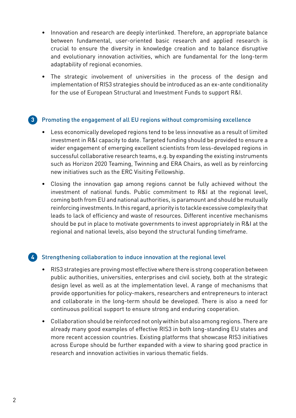- Innovation and research are deeply interlinked. Therefore, an appropriate balance between fundamental, user-oriented basic research and applied research is crucial to ensure the diversity in knowledge creation and to balance disruptive and evolutionary innovation activities, which are fundamental for the long-term adaptability of regional economies.
- The strategic involvement of universities in the process of the design and implementation of RIS3 strategies should be introduced as an ex-ante conditionality for the use of European Structural and Investment Funds to support R&I.

#### Promoting the engagement of all EU regions without compromising excellence **3**

- Less economically developed regions tend to be less innovative as a result of limited investment in R&I capacity to date. Targeted funding should be provided to ensure a wider engagement of emerging excellent scientists from less-developed regions in successful collaborative research teams, e.g. by expanding the existing instruments such as Horizon 2020 Teaming, Twinning and ERA Chairs, as well as by reinforcing new initiatives such as the ERC Visiting Fellowship.
- Closing the innovation gap among regions cannot be fully achieved without the investment of national funds. Public commitment to R&I at the regional level, coming both from EU and national authorities, is paramount and should be mutually reinforcing investments. In this regard, a priority is to tackle excessive complexity that leads to lack of efficiency and waste of resources. Different incentive mechanisms should be put in place to motivate governments to invest appropriately in R&I at the regional and national levels, also beyond the structural funding timeframe.

#### Strengthening collaboration to induce innovation at the regional level **4**

- RIS3 strategies are proving most effective where there is strong cooperation between public authorities, universities, enterprises and civil society, both at the strategic design level as well as at the implementation level. A range of mechanisms that provide opportunities for policy-makers, researchers and entrepreneurs to interact and collaborate in the long-term should be developed. There is also a need for continuous political support to ensure strong and enduring cooperation.
- Collaboration should be reinforced not only within but also among regions. There are already many good examples of effective RIS3 in both long-standing EU states and more recent accession countries. Existing platforms that showcase RIS3 initiatives across Europe should be further expanded with a view to sharing good practice in research and innovation activities in various thematic fields.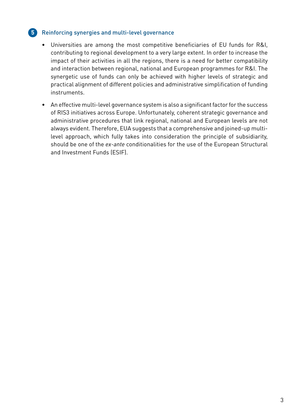#### Reinforcing synergies and multi-level governance **5**

- Universities are among the most competitive beneficiaries of EU funds for R&I, contributing to regional development to a very large extent. In order to increase the impact of their activities in all the regions, there is a need for better compatibility and interaction between regional, national and European programmes for R&I. The synergetic use of funds can only be achieved with higher levels of strategic and practical alignment of different policies and administrative simplification of funding instruments.
- An effective multi-level governance system is also a significant factor for the success of RIS3 initiatives across Europe. Unfortunately, coherent strategic governance and administrative procedures that link regional, national and European levels are not always evident. Therefore, EUA suggests that a comprehensive and joined-up multilevel approach, which fully takes into consideration the principle of subsidiarity, should be one of the *ex-ante* conditionalities for the use of the European Structural and Investment Funds (ESIF).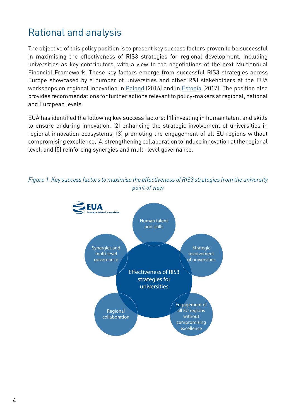### Rational and analysis

The objective of this policy position is to present key success factors proven to be successful in maximising the effectiveness of RIS3 strategies for regional development, including universities as key contributors, with a view to the negotiations of the next Multiannual Financial Framework. These key factors emerge from successful RIS3 strategies across Europe showcased by a number of universities and other R&I stakeholders at the EUA workshops on regional innovation in [Poland](http://eua.eu/activities-services/events/event/2016/10/13/default-calendar/workshop-on-universities-as-motors-of-innovation-in-central-and-eastern-europe?tab=presentations) (2016) and in [Estonia](http://eua.eu/activities-services/events/event/2017/10/17/default-calendar/eua-ris3-workshop?tab=presentations) (2017). The position also provides recommendations for further actions relevant to policy-makers at regional, national and European levels.

EUA has identified the following key success factors: (1) investing in human talent and skills to ensure enduring innovation, (2) enhancing the strategic involvement of universities in regional innovation ecosystems, (3) promoting the engagement of all EU regions without compromising excellence, (4) strengthening collaboration to induce innovation at the regional level, and (5) reinforcing synergies and multi-level governance.



#### *Figure 1. Key success factors to maximise the effectiveness of RIS3 strategies from the university point of view*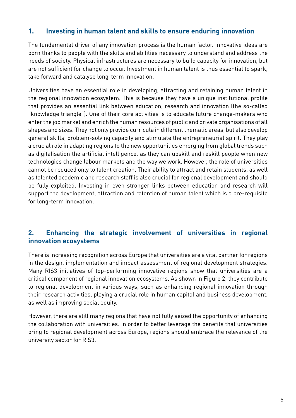#### **1. Investing in human talent and skills to ensure enduring innovation**

The fundamental driver of any innovation process is the human factor. Innovative ideas are born thanks to people with the skills and abilities necessary to understand and address the needs of society. Physical infrastructures are necessary to build capacity for innovation, but are not sufficient for change to occur. Investment in human talent is thus essential to spark, take forward and catalyse long-term innovation.

Universities have an essential role in developing, attracting and retaining human talent in the regional innovation ecosystem. This is because they have a unique institutional profile that provides an essential link between education, research and innovation (the so-called "knowledge triangle"). One of their core activities is to educate future change-makers who enter the job market and enrich the human resources of public and private organisations of all shapes and sizes. They not only provide curricula in different thematic areas, but also develop general skills, problem-solving capacity and stimulate the entrepreneurial spirit. They play a crucial role in adapting regions to the new opportunities emerging from global trends such as digitalisation the artificial intelligence, as they can upskill and reskill people when new technologies change labour markets and the way we work. However, the role of universities cannot be reduced only to talent creation. Their ability to attract and retain students, as well as talented academic and research staff is also crucial for regional development and should be fully exploited. Investing in even stronger links between education and research will support the development, attraction and retention of human talent which is a pre-requisite for long-term innovation.

#### **2. Enhancing the strategic involvement of universities in regional innovation ecosystems**

There is increasing recognition across Europe that universities are a vital partner for regions in the design, implementation and impact assessment of regional development strategies. Many RIS3 initiatives of top-performing innovative regions show that universities are a critical component of regional innovation ecosystems. As shown in Figure 2, they contribute to regional development in various ways, such as enhancing regional innovation through their research activities, playing a crucial role in human capital and business development, as well as improving social equity.

However, there are still many regions that have not fully seized the opportunity of enhancing the collaboration with universities. In order to better leverage the benefits that universities bring to regional development across Europe, regions should embrace the relevance of the university sector for RIS3.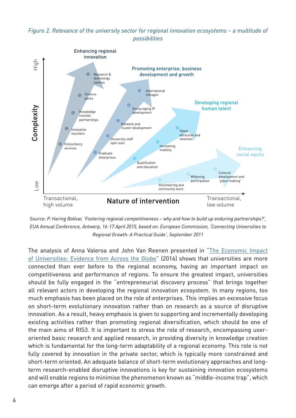#### *Figure 2. Relevance of the university sector for regional innovation ecosystems – a multitude of possibilities*



*Source: P. Haring Bolívar, 'Fostering regional competitiveness – why and how to build up enduring partnerships?', EUA Annual Conference, Antwerp, 16-17 April 2015, based on: European Commission, 'Connecting Universities to Regional Growth: A Practical Guide', September 2011*

The analysis of Anna Valeroa and John Van Reenen presented in ["The Economic Impact](http://www.eua.be/Libraries/nrc-activities/valero-amp-mimeo-2016_the-economic-impact-of-universities---evidence-from-across-the-globe.pdf)  [of Universities: Evidence from Across the Globe"](http://www.eua.be/Libraries/nrc-activities/valero-amp-mimeo-2016_the-economic-impact-of-universities---evidence-from-across-the-globe.pdf) (2016) shows that universities are more connected than ever before to the regional economy, having an important impact on competitiveness and performance of regions. To ensure the greatest impact, universities should be fully engaged in the "entrepreneurial discovery process" that brings together all relevant actors in developing the regional innovation ecosystem. In many regions, too much emphasis has been placed on the role of enterprises. This implies an excessive focus on short-term evolutionary innovation rather than on research as a source of disruptive innovation. As a result, heavy emphasis is given to supporting and incrementally developing existing activities rather than promoting regional diversification, which should be one of the main aims of RIS3. It is important to stress the role of research, encompassing useroriented basic research and applied research, in providing diversity in knowledge creation which is fundamental for the long-term adaptability of a regional economy. This role is not fully covered by innovation in the private sector, which is typically more constrained and short-term oriented. An adequate balance of short-term evolutionary approaches and longterm research-enabled disruptive innovations is key for sustaining innovation ecosystems and will enable regions to minimise the phenomenon known as "middle-income trap", which can emerge after a period of rapid economic growth.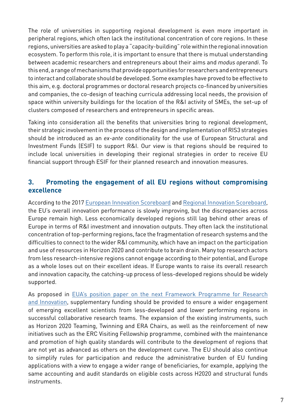The role of universities in supporting regional development is even more important in peripheral regions, which often lack the institutional concentration of core regions. In these regions, universities are asked to play a "capacity-building" role within the regional innovation ecosystem. To perform this role, it is important to ensure that there is mutual understanding between academic researchers and entrepreneurs about their aims and *modus operandi*. To this end, a range of mechanisms that provide opportunities for researchers and entrepreneurs to interact and collaborate should be developed. Some examples have proved to be effective to this aim, e.g. doctoral programmes or doctoral research projects co-financed by universities and companies, the co-design of teaching curricula addressing local needs, the provision of space within university buildings for the location of the R&I activity of SMEs, the set-up of clusters composed of researchers and entrepreneurs in specific areas.

Taking into consideration all the benefits that universities bring to regional development, their strategic involvement in the process of the design and implementation of RIS3 strategies should be introduced as an *ex-ante* conditionality for the use of European Structural and Investment Funds (ESIF) to support R&I. Our view is that regions should be required to include local universities in developing their regional strategies in order to receive EU financial support through ESIF for their planned research and innovation measures.

#### **3. Promoting the engagement of all EU regions without compromising excellence**

According to the 2017 [European Innovation Scoreboard](http://ec.europa.eu/growth/industry/innovation/facts-figures/scoreboards_en) and [Regional Innovation Scoreboard](http://ec.europa.eu/growth/industry/innovation/facts-figures/regional_en), the EU's overall innovation performance is slowly improving, but the discrepancies across Europe remain high. Less economically developed regions still lag behind other areas of Europe in terms of R&I investment and innovation outputs. They often lack the institutional concentration of top-performing regions, face the fragmentation of research systems and the difficulties to connect to the wider R&I community, which have an impact on the participation and use of resources in Horizon 2020 and contribute to brain drain. Many top research actors from less research-intensive regions cannot engage according to their potential, and Europe as a whole loses out on their excellent ideas. If Europe wants to raise its overall research and innovation capacity, the catching-up process of less-developed regions should be widely supported.

As proposed in [EUA's position paper on the next Framework Programme for Research](http://eua.be/Libraries/publications-homepage-list/eua-next-framework-programme-for-research-and-innovation-(fp9))  [and Innovation,](http://eua.be/Libraries/publications-homepage-list/eua-next-framework-programme-for-research-and-innovation-(fp9)) supplementary funding should be provided to ensure a wider engagement of emerging excellent scientists from less-developed and lower performing regions in successful collaborative research teams. The expansion of the existing instruments, such as Horizon 2020 Teaming, Twinning and ERA Chairs, as well as the reinforcement of new initiatives such as the ERC Visiting Fellowship programme, combined with the maintenance and promotion of high quality standards will contribute to the development of regions that are not yet as advanced as others on the development curve. The EU should also continue to simplify rules for participation and reduce the administrative burden of EU funding applications with a view to engage a wider range of beneficiaries, for example, applying the same accounting and audit standards on eligible costs across H2020 and structural funds instruments.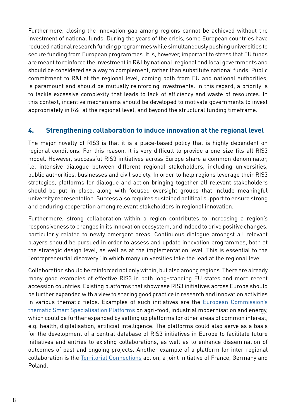Furthermore, closing the innovation gap among regions cannot be achieved without the investment of national funds. During the years of the crisis, some European countries have reduced national research funding programmes while simultaneously pushing universities to secure funding from European programmes. It is, however, important to stress that EU funds are meant to reinforce the investment in R&I by national, regional and local governments and should be considered as a way to complement, rather than substitute national funds. Public commitment to R&I at the regional level, coming both from EU and national authorities, is paramount and should be mutually reinforcing investments. In this regard, a priority is to tackle excessive complexity that leads to lack of efficiency and waste of resources. In this context, incentive mechanisms should be developed to motivate governments to invest appropriately in R&I at the regional level, and beyond the structural funding timeframe.

#### **4. Strengthening collaboration to induce innovation at the regional level**

The major novelty of RIS3 is that it is a place-based policy that is highly dependent on regional conditions. For this reason, it is very difficult to provide a one-size-fits-all RIS3 model. However, successful RIS3 initiatives across Europe share a common denominator, i.e. intensive dialogue between different regional stakeholders, including universities, public authorities, businesses and civil society. In order to help regions leverage their RIS3 strategies, platforms for dialogue and action bringing together all relevant stakeholders should be put in place, along with focused oversight groups that include meaningful university representation. Success also requires sustained political support to ensure strong and enduring cooperation among relevant stakeholders in regional innovation.

Furthermore, strong collaboration within a region contributes to increasing a region's responsiveness to changes in its innovation ecosystem, and indeed to drive positive changes, particularly related to newly emergent areas. Continuous dialogue amongst all relevant players should be pursued in order to assess and update innovation programmes, both at the strategic design level, as well as at the implementation level. This is essential to the "entrepreneurial discovery" in which many universities take the lead at the regional level.

Collaboration should be reinforced not only within, but also among regions. There are already many good examples of effective RIS3 in both long-standing EU states and more recent accession countries. Existing platforms that showcase RIS3 initiatives across Europe should be further expanded with a view to sharing good practice in research and innovation activities in various thematic fields. Examples of such initiatives are the [European Commission's](http://s3platform.jrc.ec.europa.eu/s3-thematic-platforms)  [thematic Smart Specialisation Platforms](http://s3platform.jrc.ec.europa.eu/s3-thematic-platforms) on agri-food, industrial modernisation and energy, which could be further expanded by setting up platforms for other areas of common interest, e.g. health, digitalisation, artificial intelligence. The platforms could also serve as a basis for the development of a central database of RIS3 initiatives in Europe to facilitate future initiatives and entries to existing collaborations, as well as to enhance dissemination of outcomes of past and ongoing projects. Another example of a platform for inter-regional collaboration is the [Territorial Connections](http://www.cpu.fr/wp-content/uploads/2017/10/Territorial-connections-new-version.pdf) action, a joint initiative of France, Germany and Poland.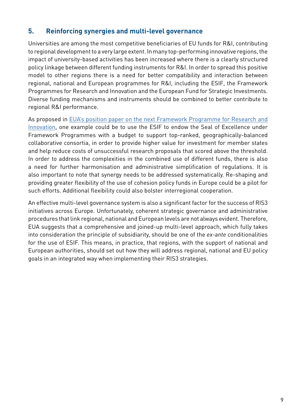#### **5. Reinforcing synergies and multi-level governance**

Universities are among the most competitive beneficiaries of EU funds for R&I, contributing to regional development to a very large extent. In many top-performing innovative regions, the impact of university-based activities has been increased where there is a clearly structured policy linkage between different funding instruments for R&I. In order to spread this positive model to other regions there is a need for better compatibility and interaction between regional, national and European programmes for R&I, including the ESIF, the Framework Programmes for Research and Innovation and the European Fund for Strategic Investments. Diverse funding mechanisms and instruments should be combined to better contribute to regional R&I performance.

As proposed in [EUA's position paper on the next Framework Programme for Research and](http://eua.be/Libraries/publications-homepage-list/eua-next-framework-programme-for-research-and-innovation-(fp9))  [Innovation](http://eua.be/Libraries/publications-homepage-list/eua-next-framework-programme-for-research-and-innovation-(fp9)), one example could be to use the ESIF to endow the Seal of Excellence under Framework Programmes with a budget to support top-ranked, geographically-balanced collaborative consortia, in order to provide higher value for investment for member states and help reduce costs of unsuccessful research proposals that scored above the threshold. In order to address the complexities in the combined use of different funds, there is also a need for further harmonisation and administrative simplification of regulations. It is also important to note that synergy needs to be addressed systematically. Re-shaping and providing greater flexibility of the use of cohesion policy funds in Europe could be a pilot for such efforts. Additional flexibility could also bolster interregional cooperation.

An effective multi-level governance system is also a significant factor for the success of RIS3 initiatives across Europe. Unfortunately, coherent strategic governance and administrative procedures that link regional, national and European levels are not always evident. Therefore, EUA suggests that a comprehensive and joined-up multi-level approach, which fully takes into consideration the principle of subsidiarity, should be one of the *ex-ante* conditionalities for the use of ESIF. This means, in practice, that regions, with the support of national and European authorities, should set out how they will address regional, national and EU policy goals in an integrated way when implementing their RIS3 strategies.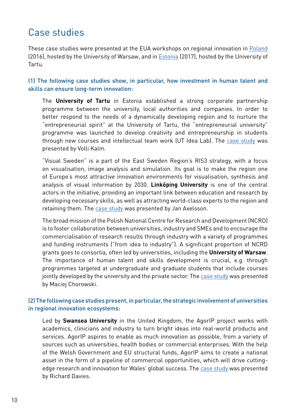### Case studies

These case studies were presented at the EUA workshops on regional innovation in [Poland](http://eua.eu/activities-services/events/event/2016/10/13/default-calendar/workshop-on-universities-as-motors-of-innovation-in-central-and-eastern-europe?tab=presentations)  (2016), hosted by the University of Warsaw, and in [Estonia](http://eua.eu/activities-services/events/event/2017/10/17/default-calendar/eua-ris3-workshop?tab=presentations) (2017), hosted by the University of Tartu.

(1) The following case studies show, in particular, how investment in human talent and skills can ensure long-term innovation:

The **University of Tartu** in Estonia established a strong corporate partnership programme between the university, local authorities and companies. In order to better respond to the needs of a dynamically developing region and to nurture the "entrepreneurial spirit" at the University of Tartu, the "entrepreneurial university" programme was launched to develop creativity and entrepreneurship in students through new courses and intellectual team work (UT Idea Lab). The [case study](http://www.eua.be/Libraries/Workshops/4-volli-kalm.pdf?sfvrsn=0) was presented by Volli Kalm.

"Visual Sweden" is a part of the East Sweden Region's RIS3 strategy, with a focus on visualisation, image analysis and simulation. Its goal is to make the region one of Europe's most attractive innovation environments for visualisation, synthesis and analysis of visual information by 2030. **Linköping University** is one of the central actors in the initiative, providing an important link between education and research by developing necessary skills, as well as attracting world-class experts to the region and retaining them. The [case study](http://www.eua.be/Libraries/others-events/eua_tartu_liu.pdf?sfvrsn=0) was presented by Jan Axelsson.

The broad mission of the Polish National Centre for Research and Development (NCRD) is to foster collaboration between universities, industry and SMEs and to encourage the commercialisation of research results through industry with a variety of programmes and funding instruments ("from idea to industry"). A significant proportion of NCRD grants goes to consortia, often led by universities, including the **University of Warsaw**. The importance of human talent and skills development is crucial, e.g. through programmes targeted at undergraduate and graduate students that include courses jointly developed by the university and the private sector. The [case study](http://www.eua.be/Libraries/Workshops/5-maciej-chorowski.pdf?sfvrsn=0) was presented by Maciej Chorowski.

#### (2) The following case studies present, in particular, the strategic involvement of universities in regional innovation ecosystems:

Led by **Swansea University** in the United Kingdom, the AgorIP project works with academics, clinicians and industry to turn bright ideas into real-world products and services. AgorIP aspires to enable as much innovation as possible, from a variety of sources such as universities, health bodies or commercial enterprises. With the help of the Welsh Government and EU structural funds, AgorIP aims to create a national asset in the form of a pipeline of commercial opportunities, which will drive cuttingedge research and innovation for Wales' global success. The [case study](http://www.eua.be/Libraries/others-events/richard_davies_ris3_workshop_171017.pdf?sfvrsn=0) was presented by Richard Davies.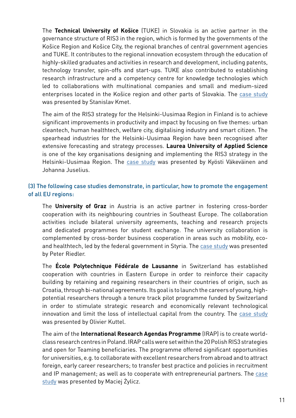The **Technical University of Košice** (TUKE) in Slovakia is an active partner in the governance structure of RIS3 in the region, which is formed by the governments of the Košice Region and Košice City, the regional branches of central government agencies and TUKE. It contributes to the regional innovation ecosystem through the education of highly-skilled graduates and activities in research and development, including patents, technology transfer, spin-offs and start-ups. TUKE also contributed to establishing research infrastructure and a competency centre for knowledge technologies which led to collaborations with multinational companies and small and medium-sized enterprises located in the Košice region and other parts of Slovakia. The case study was presented by Stanislav Kmet.

The aim of the RIS3 strategy for the Helsinki-Uusimaa Region in Finland is to achieve significant improvements in productivity and impact by focusing on five themes: urban cleantech, human healthtech, welfare city, digitalising industry and smart citizen. The spearhead industries for the Helsinki-Uusimaa Region have been recognised after extensive forecasting and strategy processes. **Laurea University of Applied Science**  is one of the key organisations designing and implementing the RIS3 strategy in the Helsinki-Uusimaa Region. The [case study](http://www.eua.be/Libraries/others-events/kyosti_vakevainen_johanna_juselius_tarto_presis_uml.pdf?sfvrsn=0) was presented by Kyösti Väkeväinen and Johanna Juselius.

#### (3) The following case studies demonstrate, in particular, how to promote the engagement of all EU regions:

The **University of Graz** in Austria is an active partner in fostering cross-border cooperation with its neighbouring countries in Southeast Europe. The collaboration activities include bilateral university agreements, teaching and research projects and dedicated programmes for student exchange. The university collaboration is complemented by cross-border business cooperation in areas such as mobility, ecoand healthtech, led by the federal government in Styria. The [case study](http://www.eua.be/Libraries/Workshops/10-peter-riedler.pdf?sfvrsn=0) was presented by Peter Riedler.

The **École Polytechnique Fédérale de Lausanne** in Switzerland has established cooperation with countries in Eastern Europe in order to reinforce their capacity building by retaining and regaining researchers in their countries of origin, such as Croatia, through bi-national agreements. Its goal is to launch the careers of young, highpotential researchers through a tenure track pilot programme funded by Switzerland in order to stimulate strategic research and economically relevant technological innovation and limit the loss of intellectual capital from the country. The [case study](http://www.eua.be/Libraries/Workshops/11-olivier-kuttel.pdf?sfvrsn=0)  was presented by Olivier Kuttel.

The aim of the **International Research Agendas Programme** (IRAP) is to create worldclass research centres in Poland. IRAP calls were set within the 20 Polish RIS3 strategies and open for Teaming beneficiaries. The programme offered significant opportunities for universities, e.g. to collaborate with excellent researchers from abroad and to attract foreign, early career researchers; to transfer best practice and policies in recruitment and IP management; as well as to cooperate with entrepreneurial partners. The [case](http://www.eua.be/Libraries/Workshops/6-maciej-zylicz.pdf?sfvrsn=0)  [study](http://www.eua.be/Libraries/Workshops/6-maciej-zylicz.pdf?sfvrsn=0) was presented by Maciej Żylicz.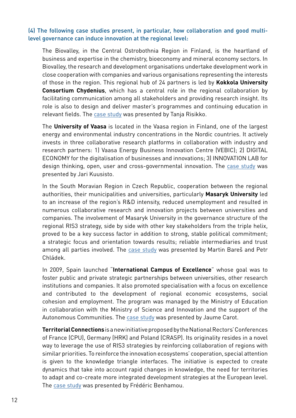#### (4) The following case studies present, in particular, how collaboration and good multilevel governance can induce innovation at the regional level:

The Biovalley, in the Central Ostrobothnia Region in Finland, is the heartland of business and expertise in the chemistry, bioeconomy and mineral economy sectors. In Biovalley, the research and development organisations undertake development work in close cooperation with companies and various organisations representing the interests of those in the region. This regional hub of 24 partners is led by **Kokkola University Consortium Chydenius**, which has a central role in the regional collaboration by facilitating communication among all stakeholders and providing research insight. Its role is also to design and deliver master's programmes and continuing education in relevant fields. The [case study](http://www.eua.be/Libraries/others-events/tanja_risikko_eua_ris3_2017.pdf?sfvrsn=0) was presented by Tanja Risikko.

The **University of Vaasa** is located in the Vaasa region in Finland, one of the largest energy and environmental industry concentrations in the Nordic countries. It actively invests in three collaborative research platforms in collaboration with industry and research partners: 1) Vaasa Energy Business Innovation Centre (VEBIC); 2) DIGITAL ECONOMY for the digitalisation of businesses and innovations; 3) INNOVATION LAB for design thinking, open, user and cross-governmental innovation. The [case study](http://www.eua.be/Libraries/others-events/uva_intro_b171017.pdf?sfvrsn=0) was presented by Jari Kuusisto.

In the South Moravian Region in Czech Republic, cooperation between the regional authorities, their municipalities and universities, particularly **Masaryk University** led to an increase of the region's R&D intensity, reduced unemployment and resulted in numerous collaborative research and innovation projects between universities and companies. The involvement of Masaryk University in the governance structure of the regional RIS3 strategy, side by side with other key stakeholders from the triple helix, proved to be a key success factor in addition to strong, stable political commitment; a strategic focus and orientation towards results; reliable intermediaries and trust among all parties involved. The [case study](http://www.eua.be/Libraries/Workshops/9-petr-chladek.pdf?sfvrsn=0) was presented by Martin Bareš and Petr Chládek.

In 2009, Spain launched "**International Campus of Excellence**" whose goal was to foster public and private strategic partnerships between universities, other research institutions and companies. It also promoted specialisation with a focus on excellence and contributed to the development of regional economic ecosystems, social cohesion and employment. The program was managed by the Ministry of Education in collaboration with the Ministry of Science and Innovation and the support of the Autonomous Communities. The [case study](http://www.eua.be/Libraries/others-events/2017_10_16_ris3-_the_spanish_case_study.pdf?sfvrsn=0) was presented by Jaume Carot.

**Territorial Connections** is a new initiative proposed by the National Rectors' Conferences of France (CPU), Germany (HRK) and Poland (CRASP). Its originality resides in a novel way to leverage the use of RIS3 strategies by reinforcing collaboration of regions with similar priorities. To reinforce the innovation ecosystems' cooperation, special attention is given to the knowledge triangle interfaces. The initiative is expected to create dynamics that take into account rapid changes in knowledge, the need for territories to adapt and co-create more integrated development strategies at the European level. The [case study](http://www.eua.be/Libraries/others-events/2017-10-17-territorial_connections-tartu_v3-0.pdf?sfvrsn=0) was presented by Frédéric Benhamou.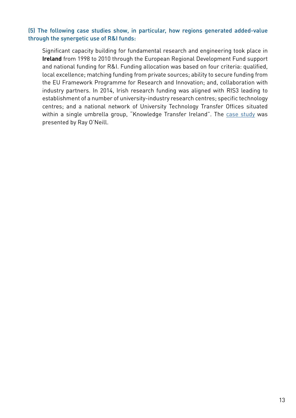#### (5) The following case studies show, in particular, how regions generated added-value through the synergetic use of R&I funds:

Significant capacity building for fundamental research and engineering took place in **Ireland** from 1998 to 2010 through the European Regional Development Fund support and national funding for R&I. Funding allocation was based on four criteria: qualified, local excellence; matching funding from private sources; ability to secure funding from the EU Framework Programme for Research and Innovation; and, collaboration with industry partners. In 2014, Irish research funding was aligned with RIS3 leading to establishment of a number of university-industry research centres; specific technology centres; and a national network of University Technology Transfer Offices situated within a single umbrella group, "Knowledge Transfer Ireland". The [case study](http://www.eua.be/Libraries/Workshops/ray-oneill.pdf?sfvrsn=0) was presented by Ray O'Neill.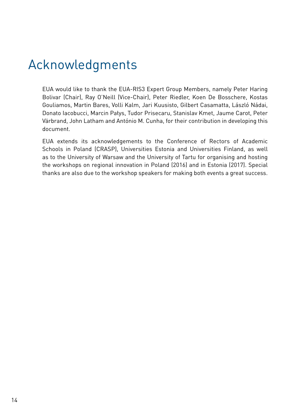## Acknowledgments

EUA would like to thank the EUA-RIS3 Expert Group Members, namely Peter Haring Bolivar (Chair), Ray O'Neill (Vice-Chair), Peter Riedler, Koen De Bosschere, Kostas Gouliamos, Martin Bares, Volli Kalm, Jari Kuusisto, Gilbert Casamatta, László Nádai, Donato Iacobucci, Marcin Pałys, Tudor Prisecaru, Stanislav Kmet, Jaume Carot, Peter Värbrand, John Latham and António M. Cunha, for their contribution in developing this document.

EUA extends its acknowledgements to the Conference of Rectors of Academic Schools in Poland (CRASP), Universities Estonia and Universities Finland, as well as to the University of Warsaw and the University of Tartu for organising and hosting the workshops on regional innovation in Poland (2016) and in Estonia (2017). Special thanks are also due to the workshop speakers for making both events a great success.